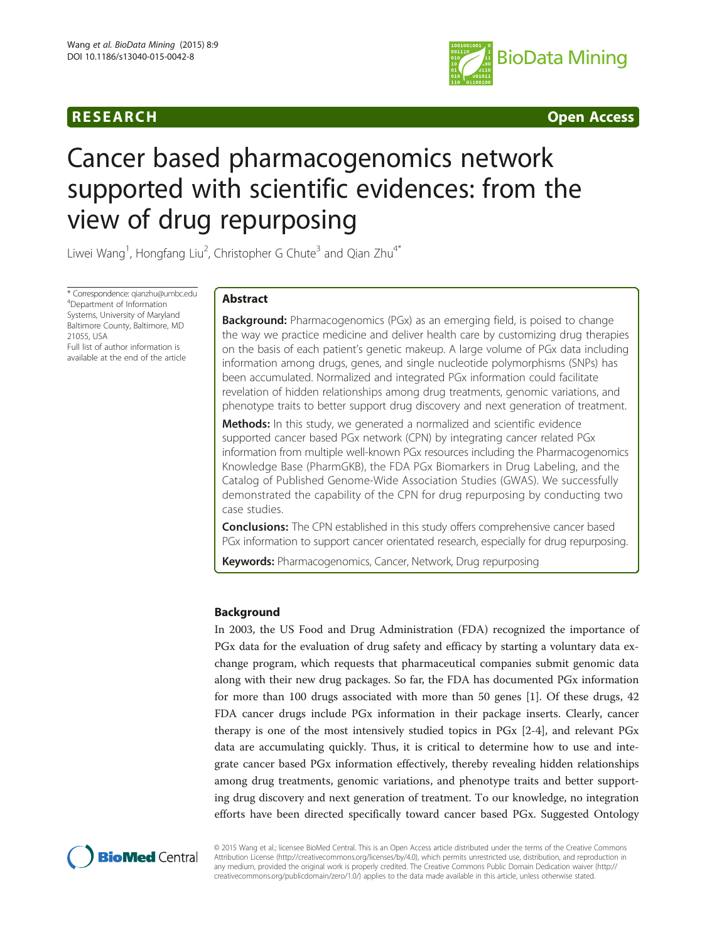

**RESEARCH CHING CONSUMING CONSUMING CONSUMING CONSUMING CONSUMING CONSUMING CONSUMING CONSUMING CONSUMING CONSUMING CONSUMING CONSUMING CONSUMING CONSUMING CONSUMING CONSUMING CONSUMING CONSUMING CONSUMING CONSUMING CONS** 

# Cancer based pharmacogenomics network supported with scientific evidences: from the view of drug repurposing

Liwei Wang<sup>1</sup>, Hongfang Liu<sup>2</sup>, Christopher G Chute<sup>3</sup> and Qian Zhu<sup>4\*</sup>

\* Correspondence: [qianzhu@umbc.edu](mailto:qianzhu@umbc.edu) <sup>4</sup> Department of Information Systems, University of Maryland Baltimore County, Baltimore, MD 21055, USA Full list of author information is

available at the end of the article

# Abstract

**Background:** Pharmacogenomics (PGx) as an emerging field, is poised to change the way we practice medicine and deliver health care by customizing drug therapies on the basis of each patient's genetic makeup. A large volume of PGx data including information among drugs, genes, and single nucleotide polymorphisms (SNPs) has been accumulated. Normalized and integrated PGx information could facilitate revelation of hidden relationships among drug treatments, genomic variations, and phenotype traits to better support drug discovery and next generation of treatment.

Methods: In this study, we generated a normalized and scientific evidence supported cancer based PGx network (CPN) by integrating cancer related PGx information from multiple well-known PGx resources including the Pharmacogenomics Knowledge Base (PharmGKB), the FDA PGx Biomarkers in Drug Labeling, and the Catalog of Published Genome-Wide Association Studies (GWAS). We successfully demonstrated the capability of the CPN for drug repurposing by conducting two case studies.

**Conclusions:** The CPN established in this study offers comprehensive cancer based PGx information to support cancer orientated research, especially for drug repurposing.

Keywords: Pharmacogenomics, Cancer, Network, Drug repurposing

# Background

In 2003, the US Food and Drug Administration (FDA) recognized the importance of PGx data for the evaluation of drug safety and efficacy by starting a voluntary data exchange program, which requests that pharmaceutical companies submit genomic data along with their new drug packages. So far, the FDA has documented PGx information for more than 100 drugs associated with more than 50 genes [\[1](#page-11-0)]. Of these drugs, 42 FDA cancer drugs include PGx information in their package inserts. Clearly, cancer therapy is one of the most intensively studied topics in PGx [[2-4](#page-11-0)], and relevant PGx data are accumulating quickly. Thus, it is critical to determine how to use and integrate cancer based PGx information effectively, thereby revealing hidden relationships among drug treatments, genomic variations, and phenotype traits and better supporting drug discovery and next generation of treatment. To our knowledge, no integration efforts have been directed specifically toward cancer based PGx. Suggested Ontology



© 2015 Wang et al.; licensee BioMed Central. This is an Open Access article distributed under the terms of the Creative Commons Attribution License (<http://creativecommons.org/licenses/by/4.0>), which permits unrestricted use, distribution, and reproduction in any medium, provided the original work is properly credited. The Creative Commons Public Domain Dedication waiver [\(http://](http://creativecommons.org/publicdomain/zero/1.0/) [creativecommons.org/publicdomain/zero/1.0/\)](http://creativecommons.org/publicdomain/zero/1.0/) applies to the data made available in this article, unless otherwise stated.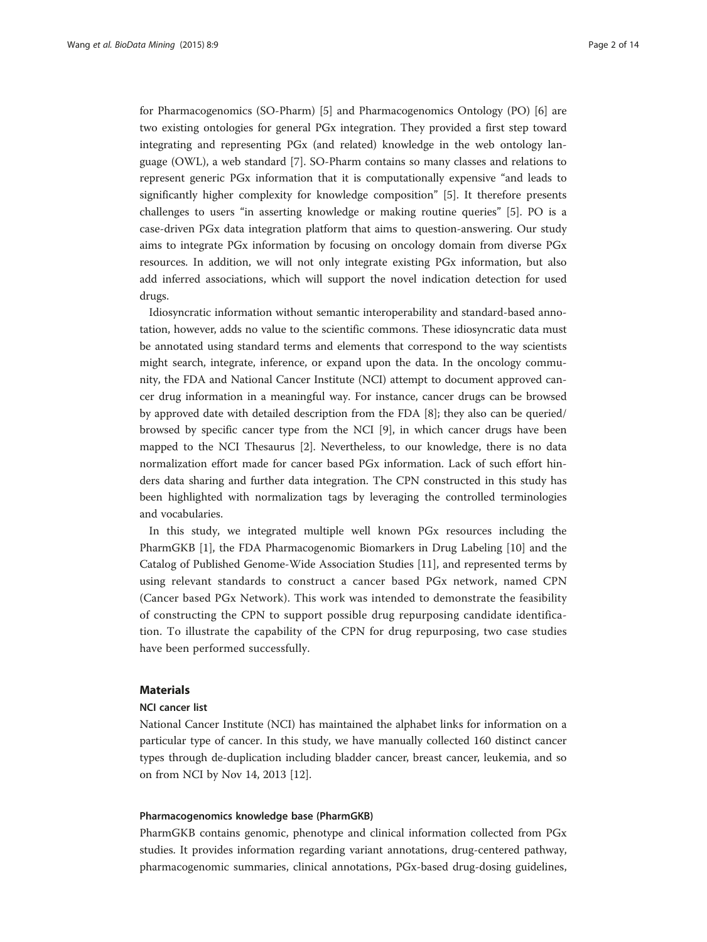for Pharmacogenomics (SO-Pharm) [\[5](#page-12-0)] and Pharmacogenomics Ontology (PO) [[6](#page-12-0)] are two existing ontologies for general PGx integration. They provided a first step toward integrating and representing PGx (and related) knowledge in the web ontology language (OWL), a web standard [[7\]](#page-12-0). SO-Pharm contains so many classes and relations to represent generic PGx information that it is computationally expensive "and leads to significantly higher complexity for knowledge composition" [[5\]](#page-12-0). It therefore presents challenges to users "in asserting knowledge or making routine queries" [[5\]](#page-12-0). PO is a case-driven PGx data integration platform that aims to question-answering. Our study aims to integrate PGx information by focusing on oncology domain from diverse PGx resources. In addition, we will not only integrate existing PGx information, but also add inferred associations, which will support the novel indication detection for used drugs.

Idiosyncratic information without semantic interoperability and standard-based annotation, however, adds no value to the scientific commons. These idiosyncratic data must be annotated using standard terms and elements that correspond to the way scientists might search, integrate, inference, or expand upon the data. In the oncology community, the FDA and National Cancer Institute (NCI) attempt to document approved cancer drug information in a meaningful way. For instance, cancer drugs can be browsed by approved date with detailed description from the FDA [[8](#page-12-0)]; they also can be queried/ browsed by specific cancer type from the NCI [[9](#page-12-0)], in which cancer drugs have been mapped to the NCI Thesaurus [[2\]](#page-11-0). Nevertheless, to our knowledge, there is no data normalization effort made for cancer based PGx information. Lack of such effort hinders data sharing and further data integration. The CPN constructed in this study has been highlighted with normalization tags by leveraging the controlled terminologies and vocabularies.

In this study, we integrated multiple well known PGx resources including the PharmGKB [\[1\]](#page-11-0), the FDA Pharmacogenomic Biomarkers in Drug Labeling [[10\]](#page-12-0) and the Catalog of Published Genome-Wide Association Studies [[11\]](#page-12-0), and represented terms by using relevant standards to construct a cancer based PGx network, named CPN (Cancer based PGx Network). This work was intended to demonstrate the feasibility of constructing the CPN to support possible drug repurposing candidate identification. To illustrate the capability of the CPN for drug repurposing, two case studies have been performed successfully.

# Materials

# NCI cancer list

National Cancer Institute (NCI) has maintained the alphabet links for information on a particular type of cancer. In this study, we have manually collected 160 distinct cancer types through de-duplication including bladder cancer, breast cancer, leukemia, and so on from NCI by Nov 14, 2013 [\[12](#page-12-0)].

# Pharmacogenomics knowledge base (PharmGKB)

PharmGKB contains genomic, phenotype and clinical information collected from PGx studies. It provides information regarding variant annotations, drug-centered pathway, pharmacogenomic summaries, clinical annotations, PGx-based drug-dosing guidelines,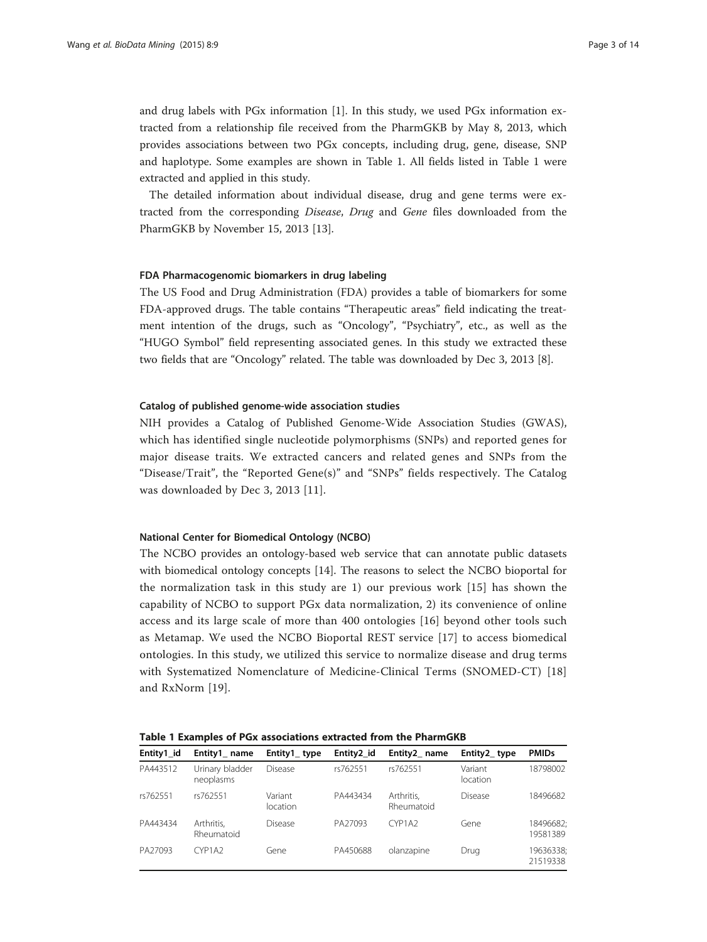<span id="page-2-0"></span>and drug labels with PGx information  $[1]$  $[1]$ . In this study, we used PGx information extracted from a relationship file received from the PharmGKB by May 8, 2013, which provides associations between two PGx concepts, including drug, gene, disease, SNP and haplotype. Some examples are shown in Table 1. All fields listed in Table 1 were extracted and applied in this study.

The detailed information about individual disease, drug and gene terms were extracted from the corresponding Disease, Drug and Gene files downloaded from the PharmGKB by November 15, 2013 [\[13](#page-12-0)].

## FDA Pharmacogenomic biomarkers in drug labeling

The US Food and Drug Administration (FDA) provides a table of biomarkers for some FDA-approved drugs. The table contains "Therapeutic areas" field indicating the treatment intention of the drugs, such as "Oncology", "Psychiatry", etc., as well as the "HUGO Symbol" field representing associated genes. In this study we extracted these two fields that are "Oncology" related. The table was downloaded by Dec 3, 2013 [\[8](#page-12-0)].

#### Catalog of published genome-wide association studies

NIH provides a Catalog of Published Genome-Wide Association Studies (GWAS), which has identified single nucleotide polymorphisms (SNPs) and reported genes for major disease traits. We extracted cancers and related genes and SNPs from the "Disease/Trait", the "Reported Gene(s)" and "SNPs" fields respectively. The Catalog was downloaded by Dec 3, 2013 [[11](#page-12-0)].

## National Center for Biomedical Ontology (NCBO)

The NCBO provides an ontology-based web service that can annotate public datasets with biomedical ontology concepts [\[14](#page-12-0)]. The reasons to select the NCBO bioportal for the normalization task in this study are 1) our previous work [[15\]](#page-12-0) has shown the capability of NCBO to support PGx data normalization, 2) its convenience of online access and its large scale of more than 400 ontologies [[16](#page-12-0)] beyond other tools such as Metamap. We used the NCBO Bioportal REST service [\[17\]](#page-12-0) to access biomedical ontologies. In this study, we utilized this service to normalize disease and drug terms with Systematized Nomenclature of Medicine-Clinical Terms (SNOMED-CT) [\[18](#page-12-0)] and RxNorm [[19\]](#page-12-0).

Table 1 Examples of PGx associations extracted from the PharmGKB

| Entity1 id | Entity1 name                 | Entity1_type        | Entity2 id | Entity2 name             | Entity2_type        | <b>PMIDs</b>          |
|------------|------------------------------|---------------------|------------|--------------------------|---------------------|-----------------------|
| PA443512   | Urinary bladder<br>neoplasms | Disease             | rs762551   | rs762551                 | Variant<br>location | 18798002              |
| rs762551   | rs762551                     | Variant<br>location | PA443434   | Arthritis.<br>Rheumatoid | Disease             | 18496682              |
| PA443434   | Arthritis,<br>Rheumatoid     | Disease             | PA27093    | CYP1A2                   | Gene                | 18496682;<br>19581389 |
| PA27093    | CYP1A2                       | Gene                | PA450688   | olanzapine               | Drug                | 19636338;<br>21519338 |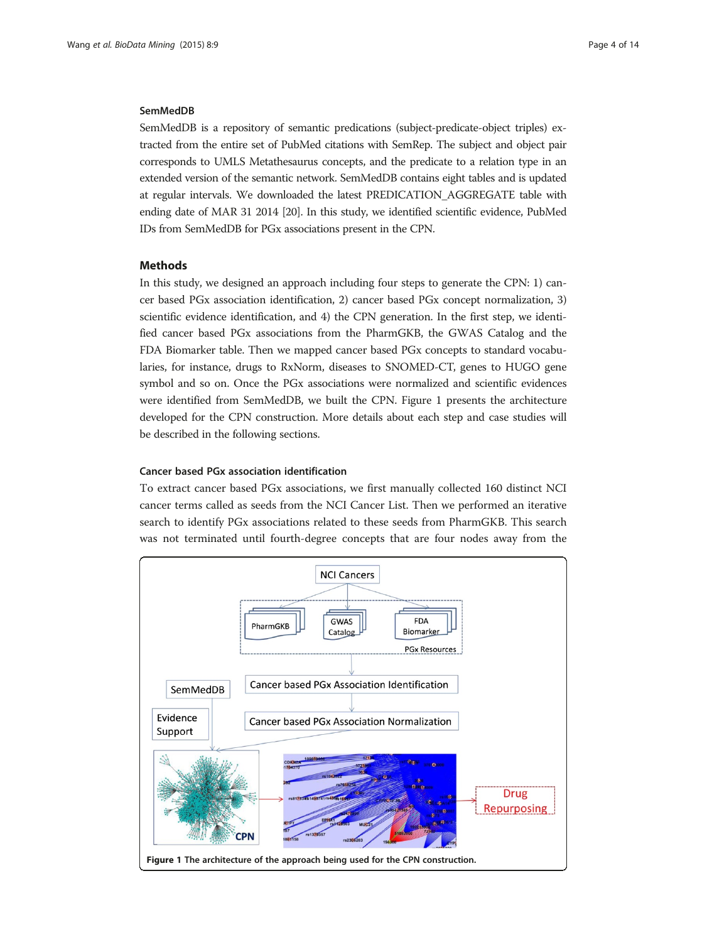# <span id="page-3-0"></span>SemMedDB

SemMedDB is a repository of semantic predications (subject-predicate-object triples) extracted from the entire set of PubMed citations with SemRep. The subject and object pair corresponds to UMLS Metathesaurus concepts, and the predicate to a relation type in an extended version of the semantic network. SemMedDB contains eight tables and is updated at regular intervals. We downloaded the latest PREDICATION\_AGGREGATE table with ending date of MAR 31 2014 [[20](#page-12-0)]. In this study, we identified scientific evidence, PubMed IDs from SemMedDB for PGx associations present in the CPN.

# Methods

In this study, we designed an approach including four steps to generate the CPN: 1) cancer based PGx association identification, 2) cancer based PGx concept normalization, 3) scientific evidence identification, and 4) the CPN generation. In the first step, we identified cancer based PGx associations from the PharmGKB, the GWAS Catalog and the FDA Biomarker table. Then we mapped cancer based PGx concepts to standard vocabularies, for instance, drugs to RxNorm, diseases to SNOMED-CT, genes to HUGO gene symbol and so on. Once the PGx associations were normalized and scientific evidences were identified from SemMedDB, we built the CPN. Figure 1 presents the architecture developed for the CPN construction. More details about each step and case studies will be described in the following sections.

# Cancer based PGx association identification

To extract cancer based PGx associations, we first manually collected 160 distinct NCI cancer terms called as seeds from the NCI Cancer List. Then we performed an iterative search to identify PGx associations related to these seeds from PharmGKB. This search was not terminated until fourth-degree concepts that are four nodes away from the

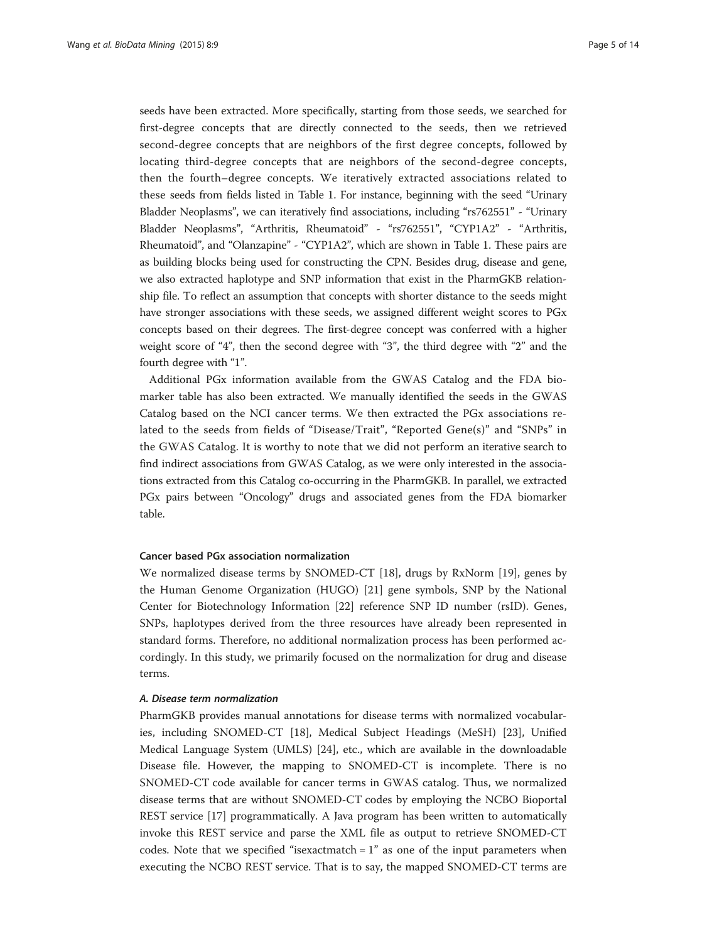seeds have been extracted. More specifically, starting from those seeds, we searched for first-degree concepts that are directly connected to the seeds, then we retrieved second-degree concepts that are neighbors of the first degree concepts, followed by locating third-degree concepts that are neighbors of the second-degree concepts, then the fourth–degree concepts. We iteratively extracted associations related to these seeds from fields listed in Table [1](#page-2-0). For instance, beginning with the seed "Urinary Bladder Neoplasms", we can iteratively find associations, including "rs762551" - "Urinary Bladder Neoplasms", "Arthritis, Rheumatoid" - "rs762551", "CYP1A2" - "Arthritis, Rheumatoid", and "Olanzapine" - "CYP1A2", which are shown in Table [1.](#page-2-0) These pairs are as building blocks being used for constructing the CPN. Besides drug, disease and gene, we also extracted haplotype and SNP information that exist in the PharmGKB relationship file. To reflect an assumption that concepts with shorter distance to the seeds might have stronger associations with these seeds, we assigned different weight scores to PGx concepts based on their degrees. The first-degree concept was conferred with a higher weight score of "4", then the second degree with "3", the third degree with "2" and the fourth degree with "1".

Additional PGx information available from the GWAS Catalog and the FDA biomarker table has also been extracted. We manually identified the seeds in the GWAS Catalog based on the NCI cancer terms. We then extracted the PGx associations related to the seeds from fields of "Disease/Trait", "Reported Gene(s)" and "SNPs" in the GWAS Catalog. It is worthy to note that we did not perform an iterative search to find indirect associations from GWAS Catalog, as we were only interested in the associations extracted from this Catalog co-occurring in the PharmGKB. In parallel, we extracted PGx pairs between "Oncology" drugs and associated genes from the FDA biomarker table.

# Cancer based PGx association normalization

We normalized disease terms by SNOMED-CT [[18\]](#page-12-0), drugs by RxNorm [\[19\]](#page-12-0), genes by the Human Genome Organization (HUGO) [[21\]](#page-12-0) gene symbols, SNP by the National Center for Biotechnology Information [[22](#page-12-0)] reference SNP ID number (rsID). Genes, SNPs, haplotypes derived from the three resources have already been represented in standard forms. Therefore, no additional normalization process has been performed accordingly. In this study, we primarily focused on the normalization for drug and disease terms.

## A. Disease term normalization

PharmGKB provides manual annotations for disease terms with normalized vocabularies, including SNOMED-CT [[18](#page-12-0)], Medical Subject Headings (MeSH) [[23\]](#page-12-0), Unified Medical Language System (UMLS) [\[24\]](#page-12-0), etc., which are available in the downloadable Disease file. However, the mapping to SNOMED-CT is incomplete. There is no SNOMED-CT code available for cancer terms in GWAS catalog. Thus, we normalized disease terms that are without SNOMED-CT codes by employing the NCBO Bioportal REST service [[17\]](#page-12-0) programmatically. A Java program has been written to automatically invoke this REST service and parse the XML file as output to retrieve SNOMED-CT codes. Note that we specified "isexactmatch  $= 1$ " as one of the input parameters when executing the NCBO REST service. That is to say, the mapped SNOMED-CT terms are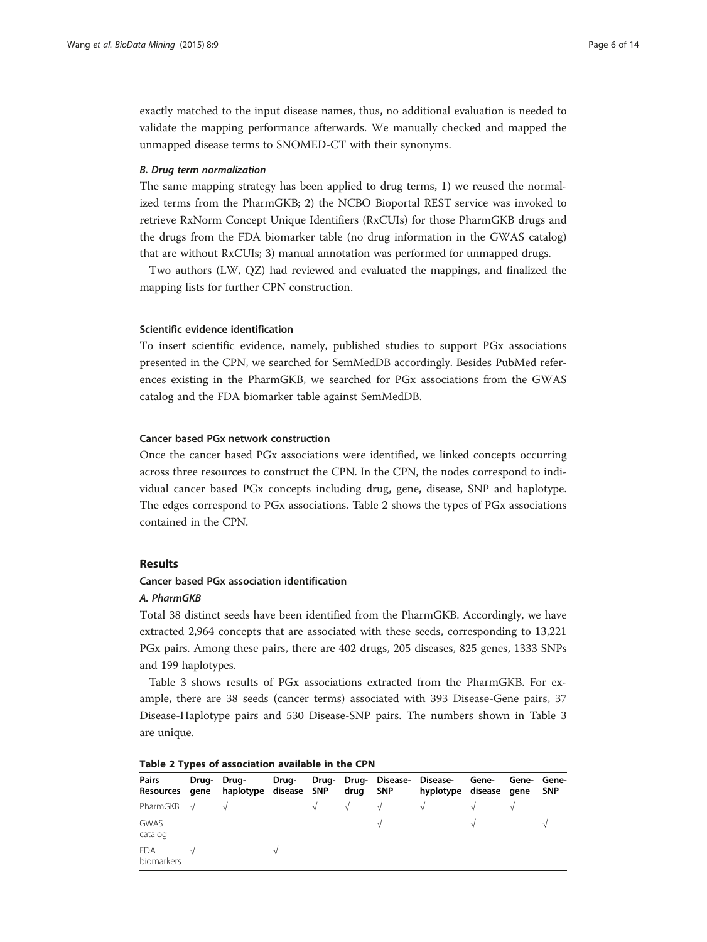<span id="page-5-0"></span>exactly matched to the input disease names, thus, no additional evaluation is needed to validate the mapping performance afterwards. We manually checked and mapped the unmapped disease terms to SNOMED-CT with their synonyms.

#### B. Drug term normalization

The same mapping strategy has been applied to drug terms, 1) we reused the normalized terms from the PharmGKB; 2) the NCBO Bioportal REST service was invoked to retrieve RxNorm Concept Unique Identifiers (RxCUIs) for those PharmGKB drugs and the drugs from the FDA biomarker table (no drug information in the GWAS catalog) that are without RxCUIs; 3) manual annotation was performed for unmapped drugs.

Two authors (LW, QZ) had reviewed and evaluated the mappings, and finalized the mapping lists for further CPN construction.

#### Scientific evidence identification

To insert scientific evidence, namely, published studies to support PGx associations presented in the CPN, we searched for SemMedDB accordingly. Besides PubMed references existing in the PharmGKB, we searched for PGx associations from the GWAS catalog and the FDA biomarker table against SemMedDB.

# Cancer based PGx network construction

Once the cancer based PGx associations were identified, we linked concepts occurring across three resources to construct the CPN. In the CPN, the nodes correspond to individual cancer based PGx concepts including drug, gene, disease, SNP and haplotype. The edges correspond to PGx associations. Table 2 shows the types of PGx associations contained in the CPN.

## Results

# Cancer based PGx association identification

#### A. PharmGKB

Total 38 distinct seeds have been identified from the PharmGKB. Accordingly, we have extracted 2,964 concepts that are associated with these seeds, corresponding to 13,221 PGx pairs. Among these pairs, there are 402 drugs, 205 diseases, 825 genes, 1333 SNPs and 199 haplotypes.

Table [3](#page-6-0) shows results of PGx associations extracted from the PharmGKB. For example, there are 38 seeds (cancer terms) associated with 393 Disease-Gene pairs, 37 Disease-Haplotype pairs and 530 Disease-SNP pairs. The numbers shown in Table [3](#page-6-0) are unique.

| <b>Pairs</b><br>Resources gene | Drug-Drug-<br>haplotype disease SNP | Drug- | drug | Drug- Drug- Disease- Disease-<br><b>SNP</b> | hyplotype disease gene | Gene- | Gene- Gene- | <b>SNP</b> |
|--------------------------------|-------------------------------------|-------|------|---------------------------------------------|------------------------|-------|-------------|------------|
| PharmGKB $\sqrt{}$             |                                     |       |      |                                             |                        |       |             |            |
| <b>GWAS</b><br>catalog         |                                     |       |      |                                             |                        |       |             |            |
| <b>FDA</b><br>biomarkers       |                                     |       |      |                                             |                        |       |             |            |

|  |  | Table 2 Types of association available in the CPN |  |  |  |  |
|--|--|---------------------------------------------------|--|--|--|--|
|--|--|---------------------------------------------------|--|--|--|--|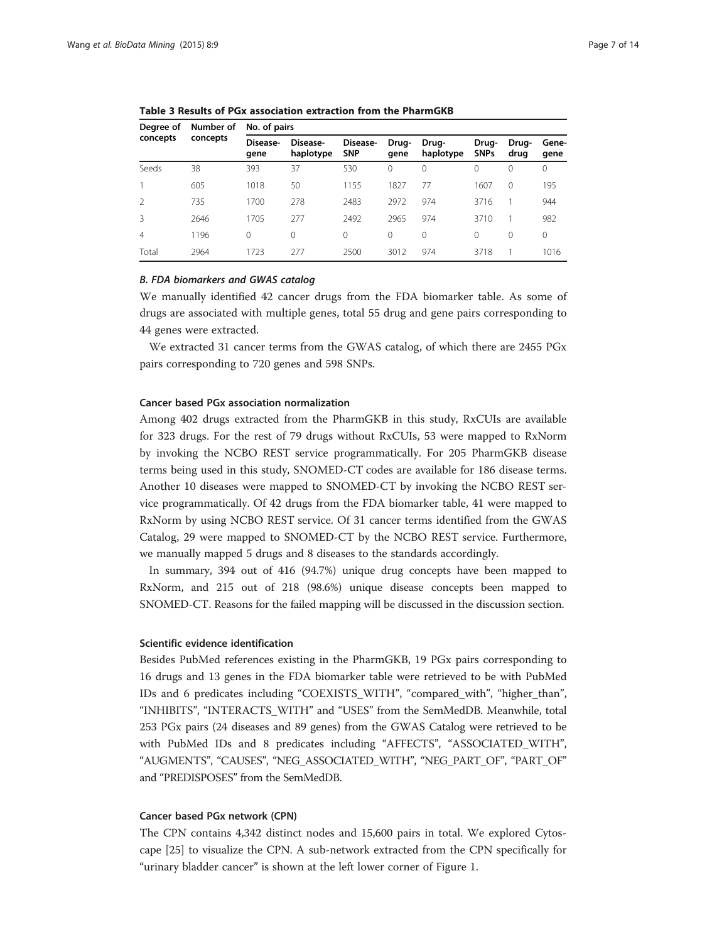| Degree of<br>concepts    | Number of<br>concepts | No. of pairs     |                       |                        |               |                    |                      |               |               |
|--------------------------|-----------------------|------------------|-----------------------|------------------------|---------------|--------------------|----------------------|---------------|---------------|
|                          |                       | Disease-<br>qene | Disease-<br>haplotype | Disease-<br><b>SNP</b> | Drug-<br>qene | Drug-<br>haplotype | Drug-<br><b>SNPs</b> | Drug-<br>drug | Gene-<br>qene |
| Seeds                    | 38                    | 393              | 37                    | 530                    | 0             | 0                  | 0                    | 0             | 0             |
|                          | 605                   | 1018             | 50                    | 1155                   | 1827          | 77                 | 1607                 | $\Omega$      | 195           |
| $\overline{\phantom{a}}$ | 735                   | 1700             | 278                   | 2483                   | 2972          | 974                | 3716                 |               | 944           |
| 3                        | 2646                  | 1705             | 277                   | 2492                   | 2965          | 974                | 3710                 |               | 982           |
| $\overline{4}$           | 1196                  | $\Omega$         | 0                     | 0                      | 0             | $\circ$            | $\Omega$             | $\Omega$      | $\Omega$      |
| Total                    | 2964                  | 1723             | 277                   | 2500                   | 3012          | 974                | 3718                 |               | 1016          |
|                          |                       |                  |                       |                        |               |                    |                      |               |               |

<span id="page-6-0"></span>Table 3 Results of PGx association extraction from the PharmGKB

#### B. FDA biomarkers and GWAS catalog

We manually identified 42 cancer drugs from the FDA biomarker table. As some of drugs are associated with multiple genes, total 55 drug and gene pairs corresponding to 44 genes were extracted.

We extracted 31 cancer terms from the GWAS catalog, of which there are 2455 PGx pairs corresponding to 720 genes and 598 SNPs.

# Cancer based PGx association normalization

Among 402 drugs extracted from the PharmGKB in this study, RxCUIs are available for 323 drugs. For the rest of 79 drugs without RxCUIs, 53 were mapped to RxNorm by invoking the NCBO REST service programmatically. For 205 PharmGKB disease terms being used in this study, SNOMED-CT codes are available for 186 disease terms. Another 10 diseases were mapped to SNOMED-CT by invoking the NCBO REST service programmatically. Of 42 drugs from the FDA biomarker table, 41 were mapped to RxNorm by using NCBO REST service. Of 31 cancer terms identified from the GWAS Catalog, 29 were mapped to SNOMED-CT by the NCBO REST service. Furthermore, we manually mapped 5 drugs and 8 diseases to the standards accordingly.

In summary, 394 out of 416 (94.7%) unique drug concepts have been mapped to RxNorm, and 215 out of 218 (98.6%) unique disease concepts been mapped to SNOMED-CT. Reasons for the failed mapping will be discussed in the discussion section.

#### Scientific evidence identification

Besides PubMed references existing in the PharmGKB, 19 PGx pairs corresponding to 16 drugs and 13 genes in the FDA biomarker table were retrieved to be with PubMed IDs and 6 predicates including "COEXISTS\_WITH", "compared\_with", "higher\_than", "INHIBITS", "INTERACTS\_WITH" and "USES" from the SemMedDB. Meanwhile, total 253 PGx pairs (24 diseases and 89 genes) from the GWAS Catalog were retrieved to be with PubMed IDs and 8 predicates including "AFFECTS", "ASSOCIATED\_WITH", "AUGMENTS", "CAUSES", "NEG\_ASSOCIATED\_WITH", "NEG\_PART\_OF", "PART\_OF" and "PREDISPOSES" from the SemMedDB.

# Cancer based PGx network (CPN)

The CPN contains 4,342 distinct nodes and 15,600 pairs in total. We explored Cytoscape [[25](#page-12-0)] to visualize the CPN. A sub-network extracted from the CPN specifically for "urinary bladder cancer" is shown at the left lower corner of Figure [1](#page-3-0).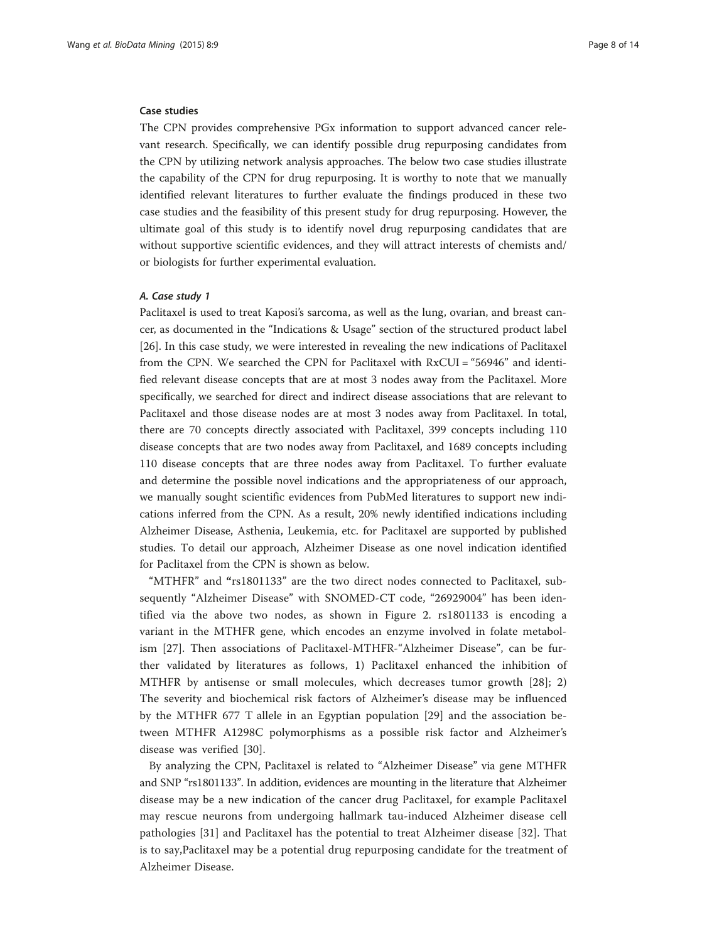#### Case studies

The CPN provides comprehensive PGx information to support advanced cancer relevant research. Specifically, we can identify possible drug repurposing candidates from the CPN by utilizing network analysis approaches. The below two case studies illustrate the capability of the CPN for drug repurposing. It is worthy to note that we manually identified relevant literatures to further evaluate the findings produced in these two case studies and the feasibility of this present study for drug repurposing. However, the ultimate goal of this study is to identify novel drug repurposing candidates that are without supportive scientific evidences, and they will attract interests of chemists and/ or biologists for further experimental evaluation.

## A. Case study 1

Paclitaxel is used to treat Kaposi's sarcoma, as well as the lung, ovarian, and breast cancer, as documented in the "Indications & Usage" section of the structured product label [[26\]](#page-12-0). In this case study, we were interested in revealing the new indications of Paclitaxel from the CPN. We searched the CPN for Paclitaxel with RxCUI = "56946" and identified relevant disease concepts that are at most 3 nodes away from the Paclitaxel. More specifically, we searched for direct and indirect disease associations that are relevant to Paclitaxel and those disease nodes are at most 3 nodes away from Paclitaxel. In total, there are 70 concepts directly associated with Paclitaxel, 399 concepts including 110 disease concepts that are two nodes away from Paclitaxel, and 1689 concepts including 110 disease concepts that are three nodes away from Paclitaxel. To further evaluate and determine the possible novel indications and the appropriateness of our approach, we manually sought scientific evidences from PubMed literatures to support new indications inferred from the CPN. As a result, 20% newly identified indications including Alzheimer Disease, Asthenia, Leukemia, etc. for Paclitaxel are supported by published studies. To detail our approach, Alzheimer Disease as one novel indication identified for Paclitaxel from the CPN is shown as below.

"MTHFR" and "rs1801133" are the two direct nodes connected to Paclitaxel, subsequently "Alzheimer Disease" with SNOMED-CT code, "26929004" has been identified via the above two nodes, as shown in Figure [2](#page-8-0). rs1801133 is encoding a variant in the MTHFR gene, which encodes an enzyme involved in folate metabolism [\[27](#page-12-0)]. Then associations of Paclitaxel-MTHFR-"Alzheimer Disease", can be further validated by literatures as follows, 1) Paclitaxel enhanced the inhibition of MTHFR by antisense or small molecules, which decreases tumor growth [[28\]](#page-12-0); 2) The severity and biochemical risk factors of Alzheimer's disease may be influenced by the MTHFR 677 T allele in an Egyptian population [[29\]](#page-12-0) and the association between MTHFR A1298C polymorphisms as a possible risk factor and Alzheimer's disease was verified [\[30](#page-12-0)].

By analyzing the CPN, Paclitaxel is related to "Alzheimer Disease" via gene MTHFR and SNP "rs1801133". In addition, evidences are mounting in the literature that Alzheimer disease may be a new indication of the cancer drug Paclitaxel, for example Paclitaxel may rescue neurons from undergoing hallmark tau-induced Alzheimer disease cell pathologies [\[31](#page-12-0)] and Paclitaxel has the potential to treat Alzheimer disease [\[32](#page-12-0)]. That is to say,Paclitaxel may be a potential drug repurposing candidate for the treatment of Alzheimer Disease.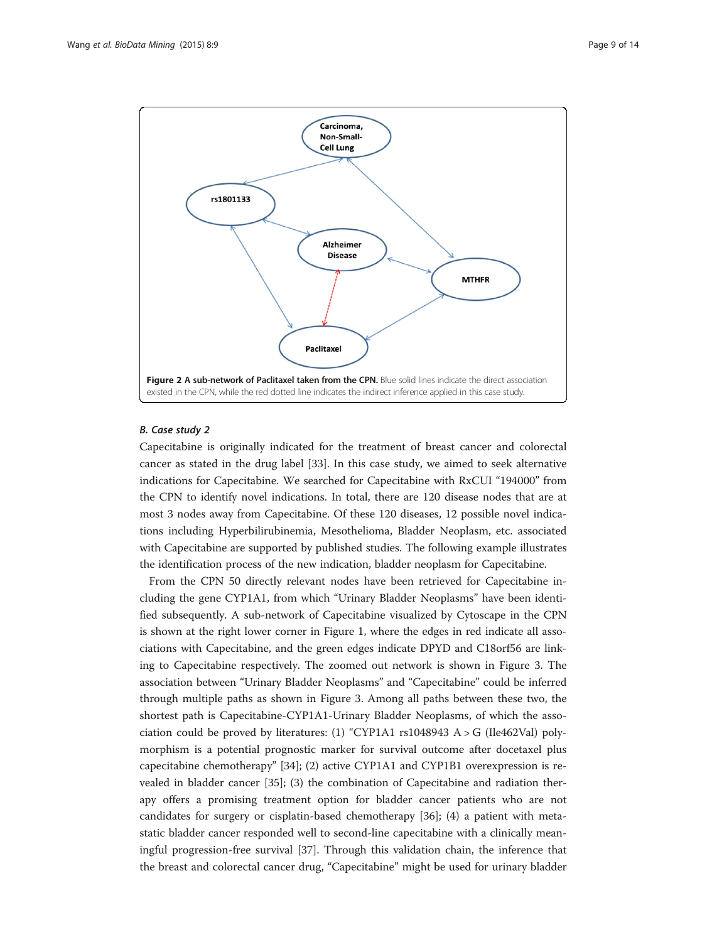<span id="page-8-0"></span>

# B. Case study 2

Capecitabine is originally indicated for the treatment of breast cancer and colorectal cancer as stated in the drug label [[33](#page-12-0)]. In this case study, we aimed to seek alternative indications for Capecitabine. We searched for Capecitabine with RxCUI "194000" from the CPN to identify novel indications. In total, there are 120 disease nodes that are at most 3 nodes away from Capecitabine. Of these 120 diseases, 12 possible novel indications including Hyperbilirubinemia, Mesothelioma, Bladder Neoplasm, etc. associated with Capecitabine are supported by published studies. The following example illustrates the identification process of the new indication, bladder neoplasm for Capecitabine.

From the CPN 50 directly relevant nodes have been retrieved for Capecitabine including the gene CYP1A1, from which "Urinary Bladder Neoplasms" have been identified subsequently. A sub-network of Capecitabine visualized by Cytoscape in the CPN is shown at the right lower corner in Figure [1,](#page-3-0) where the edges in red indicate all associations with Capecitabine, and the green edges indicate DPYD and C18orf56 are linking to Capecitabine respectively. The zoomed out network is shown in Figure [3](#page-9-0). The association between "Urinary Bladder Neoplasms" and "Capecitabine" could be inferred through multiple paths as shown in Figure [3](#page-9-0). Among all paths between these two, the shortest path is Capecitabine-CYP1A1-Urinary Bladder Neoplasms, of which the association could be proved by literatures: (1) "CYP1A1 rs1048943 A > G (Ile462Val) polymorphism is a potential prognostic marker for survival outcome after docetaxel plus capecitabine chemotherapy" [\[34](#page-12-0)]; (2) active CYP1A1 and CYP1B1 overexpression is revealed in bladder cancer [[35\]](#page-12-0); (3) the combination of Capecitabine and radiation therapy offers a promising treatment option for bladder cancer patients who are not candidates for surgery or cisplatin-based chemotherapy [[36\]](#page-12-0); (4) a patient with metastatic bladder cancer responded well to second-line capecitabine with a clinically meaningful progression-free survival [[37\]](#page-12-0). Through this validation chain, the inference that the breast and colorectal cancer drug, "Capecitabine" might be used for urinary bladder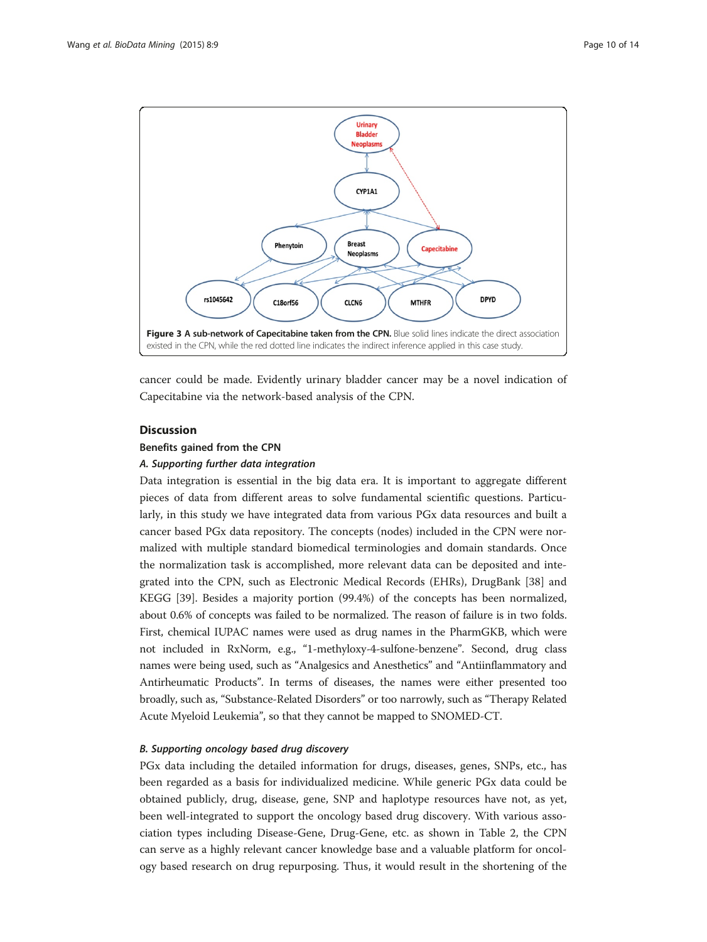<span id="page-9-0"></span>

cancer could be made. Evidently urinary bladder cancer may be a novel indication of Capecitabine via the network-based analysis of the CPN.

# **Discussion**

# Benefits gained from the CPN

#### A. Supporting further data integration

Data integration is essential in the big data era. It is important to aggregate different pieces of data from different areas to solve fundamental scientific questions. Particularly, in this study we have integrated data from various PGx data resources and built a cancer based PGx data repository. The concepts (nodes) included in the CPN were normalized with multiple standard biomedical terminologies and domain standards. Once the normalization task is accomplished, more relevant data can be deposited and integrated into the CPN, such as Electronic Medical Records (EHRs), DrugBank [[38\]](#page-12-0) and KEGG [\[39](#page-12-0)]. Besides a majority portion (99.4%) of the concepts has been normalized, about 0.6% of concepts was failed to be normalized. The reason of failure is in two folds. First, chemical IUPAC names were used as drug names in the PharmGKB, which were not included in RxNorm, e.g., "1-methyloxy-4-sulfone-benzene". Second, drug class names were being used, such as "Analgesics and Anesthetics" and "Antiinflammatory and Antirheumatic Products". In terms of diseases, the names were either presented too broadly, such as, "Substance-Related Disorders" or too narrowly, such as "Therapy Related Acute Myeloid Leukemia", so that they cannot be mapped to SNOMED-CT.

# B. Supporting oncology based drug discovery

PGx data including the detailed information for drugs, diseases, genes, SNPs, etc., has been regarded as a basis for individualized medicine. While generic PGx data could be obtained publicly, drug, disease, gene, SNP and haplotype resources have not, as yet, been well-integrated to support the oncology based drug discovery. With various association types including Disease-Gene, Drug-Gene, etc. as shown in Table [2,](#page-5-0) the CPN can serve as a highly relevant cancer knowledge base and a valuable platform for oncology based research on drug repurposing. Thus, it would result in the shortening of the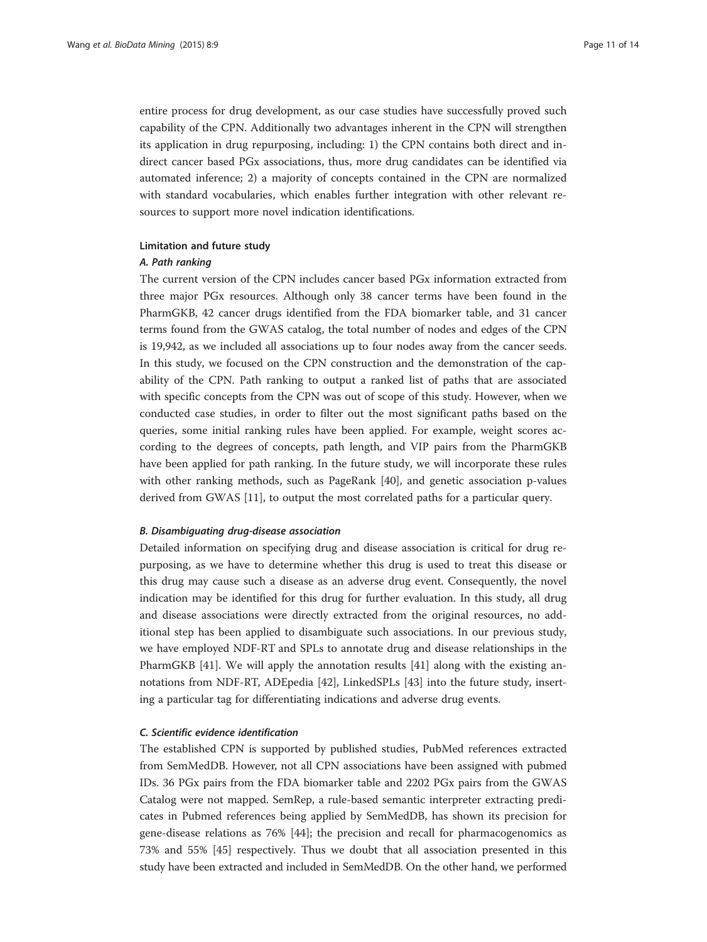entire process for drug development, as our case studies have successfully proved such capability of the CPN. Additionally two advantages inherent in the CPN will strengthen its application in drug repurposing, including: 1) the CPN contains both direct and indirect cancer based PGx associations, thus, more drug candidates can be identified via automated inference; 2) a majority of concepts contained in the CPN are normalized with standard vocabularies, which enables further integration with other relevant resources to support more novel indication identifications.

# Limitation and future study

#### A. Path ranking

The current version of the CPN includes cancer based PGx information extracted from three major PGx resources. Although only 38 cancer terms have been found in the PharmGKB, 42 cancer drugs identified from the FDA biomarker table, and 31 cancer terms found from the GWAS catalog, the total number of nodes and edges of the CPN is 19,942, as we included all associations up to four nodes away from the cancer seeds. In this study, we focused on the CPN construction and the demonstration of the capability of the CPN. Path ranking to output a ranked list of paths that are associated with specific concepts from the CPN was out of scope of this study. However, when we conducted case studies, in order to filter out the most significant paths based on the queries, some initial ranking rules have been applied. For example, weight scores according to the degrees of concepts, path length, and VIP pairs from the PharmGKB have been applied for path ranking. In the future study, we will incorporate these rules with other ranking methods, such as PageRank [[40\]](#page-13-0), and genetic association p-values derived from GWAS [[11](#page-12-0)], to output the most correlated paths for a particular query.

#### B. Disambiguating drug-disease association

Detailed information on specifying drug and disease association is critical for drug repurposing, as we have to determine whether this drug is used to treat this disease or this drug may cause such a disease as an adverse drug event. Consequently, the novel indication may be identified for this drug for further evaluation. In this study, all drug and disease associations were directly extracted from the original resources, no additional step has been applied to disambiguate such associations. In our previous study, we have employed NDF-RT and SPLs to annotate drug and disease relationships in the PharmGKB [\[41](#page-13-0)]. We will apply the annotation results [[41\]](#page-13-0) along with the existing annotations from NDF-RT, ADEpedia [[42](#page-13-0)], LinkedSPLs [[43](#page-13-0)] into the future study, inserting a particular tag for differentiating indications and adverse drug events.

# C. Scientific evidence identification

The established CPN is supported by published studies, PubMed references extracted from SemMedDB. However, not all CPN associations have been assigned with pubmed IDs. 36 PGx pairs from the FDA biomarker table and 2202 PGx pairs from the GWAS Catalog were not mapped. SemRep, a rule-based semantic interpreter extracting predicates in Pubmed references being applied by SemMedDB, has shown its precision for gene-disease relations as 76% [[44\]](#page-13-0); the precision and recall for pharmacogenomics as 73% and 55% [\[45](#page-13-0)] respectively. Thus we doubt that all association presented in this study have been extracted and included in SemMedDB. On the other hand, we performed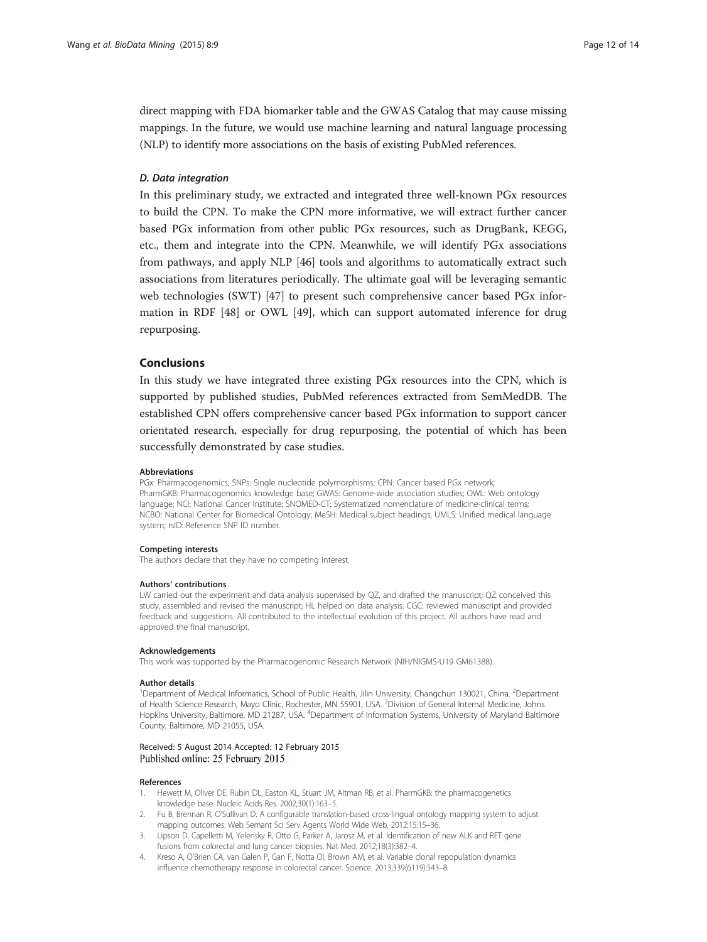<span id="page-11-0"></span>direct mapping with FDA biomarker table and the GWAS Catalog that may cause missing mappings. In the future, we would use machine learning and natural language processing (NLP) to identify more associations on the basis of existing PubMed references.

# D. Data integration

In this preliminary study, we extracted and integrated three well-known PGx resources to build the CPN. To make the CPN more informative, we will extract further cancer based PGx information from other public PGx resources, such as DrugBank, KEGG, etc., them and integrate into the CPN. Meanwhile, we will identify PGx associations from pathways, and apply NLP [[46\]](#page-13-0) tools and algorithms to automatically extract such associations from literatures periodically. The ultimate goal will be leveraging semantic web technologies (SWT) [[47\]](#page-13-0) to present such comprehensive cancer based PGx information in RDF [\[48\]](#page-13-0) or OWL [\[49](#page-13-0)], which can support automated inference for drug repurposing.

# Conclusions

In this study we have integrated three existing PGx resources into the CPN, which is supported by published studies, PubMed references extracted from SemMedDB. The established CPN offers comprehensive cancer based PGx information to support cancer orientated research, especially for drug repurposing, the potential of which has been successfully demonstrated by case studies.

#### Abbreviations

PGx: Pharmacogenomics; SNPs: Single nucleotide polymorphisms; CPN: Cancer based PGx network; PharmGKB: Pharmacogenomics knowledge base; GWAS: Genome-wide association studies; OWL: Web ontology language; NCI: National Cancer Institute; SNOMED-CT: Systematized nomenclature of medicine-clinical terms; NCBO: National Center for Biomedical Ontology; MeSH: Medical subject headings; UMLS: Unified medical language system; rsID: Reference SNP ID number.

#### Competing interests

The authors declare that they have no competing interest.

#### Authors' contributions

LW carried out the experiment and data analysis supervised by QZ, and drafted the manuscript; QZ conceived this study, assembled and revised the manuscript; HL helped on data analysis. CGC: reviewed manuscript and provided feedback and suggestions. All contributed to the intellectual evolution of this project. All authors have read and approved the final manuscript.

#### Acknowledgements

This work was supported by the Pharmacogenomic Research Network (NIH/NIGMS-U19 GM61388).

#### Author details

<sup>1</sup>Department of Medical Informatics, School of Public Health, Jilin University, Changchun 130021, China. <sup>2</sup>Department of Health Science Research, Mayo Clinic, Rochester, MN 55901, USA. <sup>3</sup>Division of General Internal Medicine, Johns Hopkins University, Baltimore, MD 21287, USA. <sup>4</sup>Department of Information Systems, University of Maryland Baltimore County, Baltimore, MD 21055, USA.

## Received: 5 August 2014 Accepted: 12 February 2015 Published online: 25 February 2015

#### References

- 1. Hewett M, Oliver DE, Rubin DL, Easton KL, Stuart JM, Altman RB, et al. PharmGKB: the pharmacogenetics knowledge base. Nucleic Acids Res. 2002;30(1):163–5.
- 2. Fu B, Brennan R, O'Sullivan D. A configurable translation-based cross-lingual ontology mapping system to adjust mapping outcomes. Web Semant Sci Serv Agents World Wide Web. 2012;15:15–36.
- 3. Lipson D, Capelletti M, Yelensky R, Otto G, Parker A, Jarosz M, et al. Identification of new ALK and RET gene fusions from colorectal and lung cancer biopsies. Nat Med. 2012;18(3):382–4.
- 4. Kreso A, O'Brien CA, van Galen P, Gan F, Notta OI, Brown AM, et al. Variable clonal repopulation dynamics influence chemotherapy response in colorectal cancer. Science. 2013;339(6119):543–8.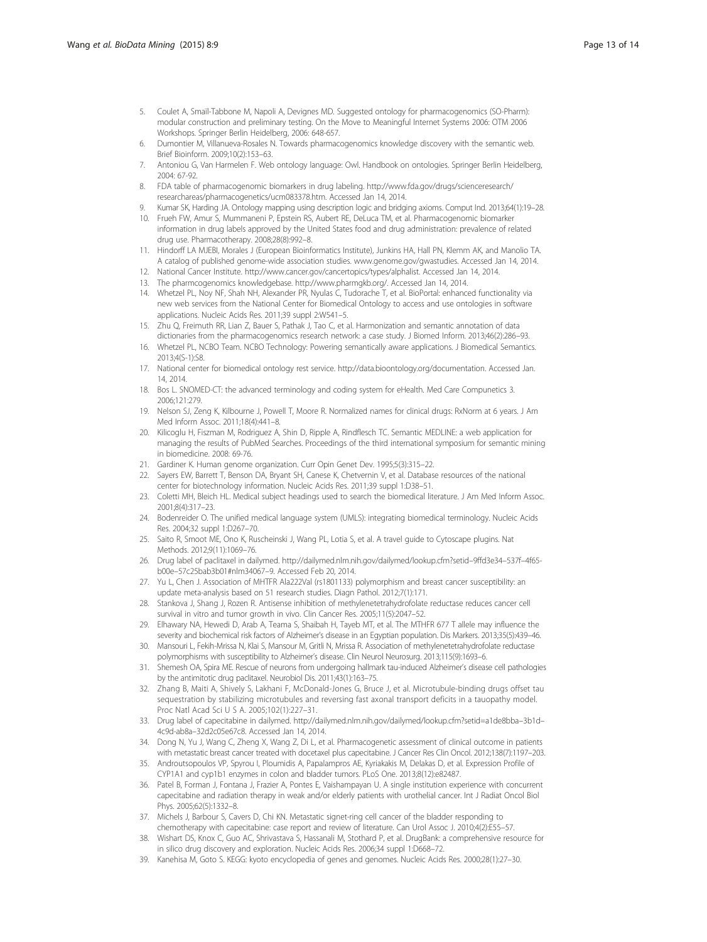- <span id="page-12-0"></span>5. Coulet A, Smaïl-Tabbone M, Napoli A, Devignes MD. Suggested ontology for pharmacogenomics (SO-Pharm): modular construction and preliminary testing. On the Move to Meaningful Internet Systems 2006: OTM 2006 Workshops. Springer Berlin Heidelberg, 2006: 648-657.
- Dumontier M, Villanueva-Rosales N. Towards pharmacogenomics knowledge discovery with the semantic web. Brief Bioinform. 2009;10(2):153–63.
- 7. Antoniou G, Van Harmelen F. Web ontology language: Owl. Handbook on ontologies. Springer Berlin Heidelberg, 2004: 67-92.
- 8. FDA table of pharmacogenomic biomarkers in drug labeling. [http://www.fda.gov/drugs/scienceresearch/](http://www.fda.gov/drugs/scienceresearch/researchareas/pharmacogenetics/ucm083378.htm) [researchareas/pharmacogenetics/ucm083378.htm](http://www.fda.gov/drugs/scienceresearch/researchareas/pharmacogenetics/ucm083378.htm). Accessed Jan 14, 2014.
- 9. Kumar SK, Harding JA. Ontology mapping using description logic and bridging axioms. Comput Ind. 2013;64(1):19–28.
- 10. Frueh FW, Amur S, Mummaneni P, Epstein RS, Aubert RE, DeLuca TM, et al. Pharmacogenomic biomarker information in drug labels approved by the United States food and drug administration: prevalence of related drug use. Pharmacotherapy. 2008;28(8):992–8.
- 11. Hindorff LA MJEBI, Morales J (European Bioinformatics Institute), Junkins HA, Hall PN, Klemm AK, and Manolio TA. A catalog of published genome-wide association studies. [www.genome.gov/gwastudies](http://www.genome.gov/gwastudies). Accessed Jan 14, 2014.
- 12. National Cancer Institute. [http://www.cancer.gov/cancertopics/types/alphalist.](http://www.cancer.gov/cancertopics/types/alphalist) Accessed Jan 14, 2014.
- 13. The pharmcogenomics knowledgebase.<http://www.pharmgkb.org/>. Accessed Jan 14, 2014.
- 14. Whetzel PL, Noy NF, Shah NH, Alexander PR, Nyulas C, Tudorache T, et al. BioPortal: enhanced functionality via new web services from the National Center for Biomedical Ontology to access and use ontologies in software applications. Nucleic Acids Res. 2011;39 suppl 2:W541–5.
- 15. Zhu Q, Freimuth RR, Lian Z, Bauer S, Pathak J, Tao C, et al. Harmonization and semantic annotation of data dictionaries from the pharmacogenomics research network: a case study. J Biomed Inform. 2013;46(2):286–93.
- 16. Whetzel PL, NCBO Team. NCBO Technology: Powering semantically aware applications. J Biomedical Semantics. 2013;4(S-1):S8.
- 17. National center for biomedical ontology rest service. [http://data.bioontology.org/documentation.](http://data.bioontology.org/documentation) Accessed Jan. 14, 2014.
- 18. Bos L. SNOMED-CT: the advanced terminology and coding system for eHealth. Med Care Compunetics 3. 2006;121:279.
- 19. Nelson SJ, Zeng K, Kilbourne J, Powell T, Moore R. Normalized names for clinical drugs: RxNorm at 6 years. J Am Med Inform Assoc. 2011;18(4):441–8.
- 20. Kilicoglu H, Fiszman M, Rodriguez A, Shin D, Ripple A, Rindflesch TC. Semantic MEDLINE: a web application for managing the results of PubMed Searches. Proceedings of the third international symposium for semantic mining in biomedicine. 2008: 69-76.
- 21. Gardiner K. Human genome organization. Curr Opin Genet Dev. 1995;5(3):315–22.
- 22. Sayers EW, Barrett T, Benson DA, Bryant SH, Canese K, Chetvernin V, et al. Database resources of the national center for biotechnology information. Nucleic Acids Res. 2011;39 suppl 1:D38–51.
- 23. Coletti MH, Bleich HL. Medical subject headings used to search the biomedical literature. J Am Med Inform Assoc. 2001;8(4):317–23.
- 24. Bodenreider O. The unified medical language system (UMLS): integrating biomedical terminology. Nucleic Acids Res. 2004;32 suppl 1:D267–70.
- 25. Saito R, Smoot ME, Ono K, Ruscheinski J, Wang PL, Lotia S, et al. A travel guide to Cytoscape plugins. Nat Methods. 2012;9(11):1069–76.
- 26. Drug label of paclitaxel in dailymed. [http://dailymed.nlm.nih.gov/dailymed/lookup.cfm?setid](http://dailymed.nlm.nih.gov/dailymed/lookup.cfm?setid%E2%80%939ffd3e34%E2%80%93537f%E2%80%934f65-b00e%E2%80%9357c25bab3b01#nlm34067%E2%80%939)–9ffd3e34–537f–4f65 b00e–[57c25bab3b01#nlm34067](http://dailymed.nlm.nih.gov/dailymed/lookup.cfm?setid%E2%80%939ffd3e34%E2%80%93537f%E2%80%934f65-b00e%E2%80%9357c25bab3b01#nlm34067%E2%80%939)–9. Accessed Feb 20, 2014.
- 27. Yu L, Chen J. Association of MHTFR Ala222Val (rs1801133) polymorphism and breast cancer susceptibility: an update meta-analysis based on 51 research studies. Diagn Pathol. 2012;7(1):171.
- 28. Stankova J, Shang J, Rozen R. Antisense inhibition of methylenetetrahydrofolate reductase reduces cancer cell survival in vitro and tumor growth in vivo. Clin Cancer Res. 2005;11(5):2047–52.
- 29. Elhawary NA, Hewedi D, Arab A, Teama S, Shaibah H, Tayeb MT, et al. The MTHFR 677 T allele may influence the severity and biochemical risk factors of Alzheimer's disease in an Egyptian population. Dis Markers. 2013;35(5):439–46.
- 30. Mansouri L, Fekih-Mrissa N, Klai S, Mansour M, Gritli N, Mrissa R. Association of methylenetetrahydrofolate reductase polymorphisms with susceptibility to Alzheimer's disease. Clin Neurol Neurosurg. 2013;115(9):1693-6.
- 31. Shemesh OA, Spira ME. Rescue of neurons from undergoing hallmark tau-induced Alzheimer's disease cell pathologies by the antimitotic drug paclitaxel. Neurobiol Dis. 2011;43(1):163–75.
- 32. Zhang B, Maiti A, Shively S, Lakhani F, McDonald-Jones G, Bruce J, et al. Microtubule-binding drugs offset tau sequestration by stabilizing microtubules and reversing fast axonal transport deficits in a tauopathy model. Proc Natl Acad Sci U S A. 2005;102(1):227–31.
- 33. Drug label of capecitabine in dailymed. [http://dailymed.nlm.nih.gov/dailymed/lookup.cfm?setid=a1de8bba](http://dailymed.nlm.nih.gov/dailymed/lookup.cfm?setid=a1de8bba%E2%80%933b1d%E2%80%934c9d-ab8a%E2%80%9332d2c05e67c8)–3b1d– 4c9d-ab8a–[32d2c05e67c8.](http://dailymed.nlm.nih.gov/dailymed/lookup.cfm?setid=a1de8bba%E2%80%933b1d%E2%80%934c9d-ab8a%E2%80%9332d2c05e67c8) Accessed Jan 14, 2014.
- 34. Dong N, Yu J, Wang C, Zheng X, Wang Z, Di L, et al. Pharmacogenetic assessment of clinical outcome in patients with metastatic breast cancer treated with docetaxel plus capecitabine. J Cancer Res Clin Oncol. 2012;138(7):1197–203.
- 35. Androutsopoulos VP, Spyrou I, Ploumidis A, Papalampros AE, Kyriakakis M, Delakas D, et al. Expression Profile of CYP1A1 and cyp1b1 enzymes in colon and bladder tumors. PLoS One. 2013;8(12):e82487.
- 36. Patel B, Forman J, Fontana J, Frazier A, Pontes E, Vaishampayan U. A single institution experience with concurrent capecitabine and radiation therapy in weak and/or elderly patients with urothelial cancer. Int J Radiat Oncol Biol Phys. 2005;62(5):1332–8.
- 37. Michels J, Barbour S, Cavers D, Chi KN. Metastatic signet-ring cell cancer of the bladder responding to chemotherapy with capecitabine: case report and review of literature. Can Urol Assoc J. 2010;4(2):E55–57.
- 38. Wishart DS, Knox C, Guo AC, Shrivastava S, Hassanali M, Stothard P, et al. DrugBank: a comprehensive resource for in silico drug discovery and exploration. Nucleic Acids Res. 2006;34 suppl 1:D668–72.
- 39. Kanehisa M, Goto S. KEGG: kyoto encyclopedia of genes and genomes. Nucleic Acids Res. 2000;28(1):27–30.